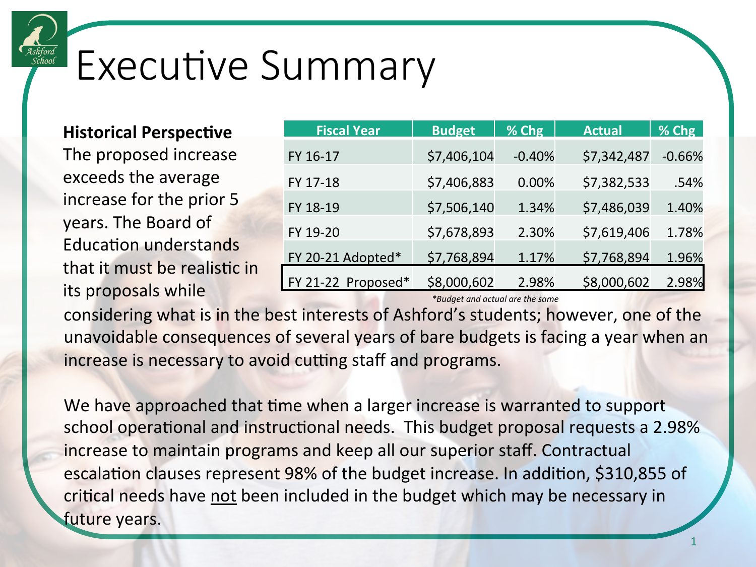

## Executive Summary

## **Historical Perspective**

The proposed increase exceeds the average increase for the prior 5 years. The Board of **Education understands** that it must be realistic in its proposals while

| <b>Fiscal Year</b> | <b>Budget</b> | % Chg    | <b>Actual</b> | % Chg    |
|--------------------|---------------|----------|---------------|----------|
| FY 16-17           | \$7,406,104   | $-0.40%$ | \$7,342,487   | $-0.66%$ |
| FY 17-18           | \$7,406,883   | 0.00%    | \$7,382,533   | .54%     |
| FY 18-19           | \$7,506,140   | 1.34%    | \$7,486,039   | 1.40%    |
| FY 19-20           | \$7,678,893   | 2.30%    | \$7,619,406   | 1.78%    |
| FY 20-21 Adopted*  | \$7,768,894   | 1.17%    | \$7,768,894   | 1.96%    |
| FY 21-22 Proposed* | \$8,000,602   | 2.98%    | \$8,000,602   | 2.98%    |

*\*Budget and actual are the same* 

considering what is in the best interests of Ashford's students; however, one of the unavoidable consequences of several years of bare budgets is facing a year when an increase is necessary to avoid cutting staff and programs.

We have approached that time when a larger increase is warranted to support school operational and instructional needs. This budget proposal requests a 2.98% increase to maintain programs and keep all our superior staff. Contractual escalation clauses represent 98% of the budget increase. In addition, \$310,855 of critical needs have not been included in the budget which may be necessary in future years.